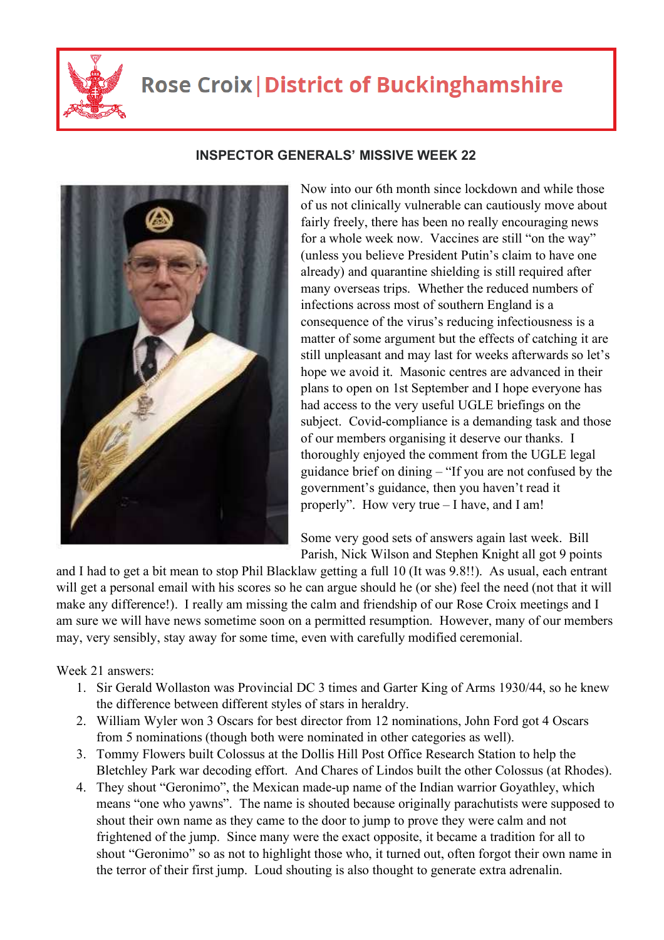

## **Rose Croix | District of Buckinghamshire**



## **INSPECTOR GENERALS' MISSIVE WEEK 22**

Now into our 6th month since lockdown and while those of us not clinically vulnerable can cautiously move about fairly freely, there has been no really encouraging news for a whole week now. Vaccines are still "on the way" (unless you believe President Putin's claim to have one already) and quarantine shielding is still required after many overseas trips. Whether the reduced numbers of infections across most of southern England is a consequence of the virus's reducing infectiousness is a matter of some argument but the effects of catching it are still unpleasant and may last for weeks afterwards so let's hope we avoid it. Masonic centres are advanced in their plans to open on 1st September and I hope everyone has had access to the very useful UGLE briefings on the subject. Covid-compliance is a demanding task and those of our members organising it deserve our thanks. I thoroughly enjoyed the comment from the UGLE legal guidance brief on dining – "If you are not confused by the government's guidance, then you haven't read it properly". How very true – I have, and I am!

Some very good sets of answers again last week. Bill Parish, Nick Wilson and Stephen Knight all got 9 points

and I had to get a bit mean to stop Phil Blacklaw getting a full 10 (It was 9.8!!). As usual, each entrant will get a personal email with his scores so he can argue should he (or she) feel the need (not that it will make any difference!). I really am missing the calm and friendship of our Rose Croix meetings and I am sure we will have news sometime soon on a permitted resumption. However, many of our members may, very sensibly, stay away for some time, even with carefully modified ceremonial.

Week 21 answers:

- 1. Sir Gerald Wollaston was Provincial DC 3 times and Garter King of Arms 1930/44, so he knew the difference between different styles of stars in heraldry.
- 2. William Wyler won 3 Oscars for best director from 12 nominations, John Ford got 4 Oscars from 5 nominations (though both were nominated in other categories as well).
- 3. Tommy Flowers built Colossus at the Dollis Hill Post Office Research Station to help the Bletchley Park war decoding effort. And Chares of Lindos built the other Colossus (at Rhodes).
- 4. They shout "Geronimo", the Mexican made-up name of the Indian warrior Goyathley, which means "one who yawns". The name is shouted because originally parachutists were supposed to shout their own name as they came to the door to jump to prove they were calm and not frightened of the jump. Since many were the exact opposite, it became a tradition for all to shout "Geronimo" so as not to highlight those who, it turned out, often forgot their own name in the terror of their first jump. Loud shouting is also thought to generate extra adrenalin.